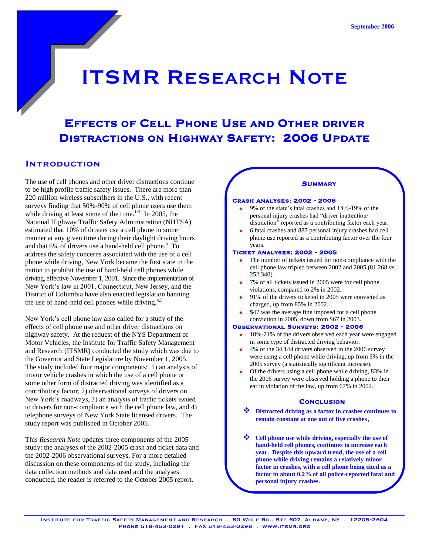# ITSMR RESEARCH NOTE

# EFFECTS OF CELL PHONE USE AND OTHER DRIVER DISTRACTIONS ON HIGHWAY SAFETY: 2006 UPDATE

# **INTRODUCTION**

The use of cell phones and other driver distractions continue to be high profile traffic safety issues. There are more than 220 million wireless subscribers in the U.S., with recent surveys finding that 50%-90% of cell phone users use them while driving at least some of the time. $1.4$  In 2005, the National Highway Traffic Safety Administration (NHTSA) estimated that 10% of drivers use a cell phone in some manner at any given time during their daylight driving hours and that  $6\%$  of drivers use a hand-held cell phone.<sup>5</sup> To address the safety concerns associated with the use of a cell phone while driving, New York became the first state in the nation to prohibit the use of hand-held cell phones while driving, effective November 1, 2001. Since the implementation of New York's law in 2001, Connecticut, New Jersey, and the District of Columbia have also enacted legislation banning the use of hand-held cell phones while driving. $4,5$ 

New York's cell phone law also called for a study of the effects of cell phone use and other driver distractions on highway safety. At the request of the NYS Department of Motor Vehicles, the Institute for Traffic Safety Management and Research (ITSMR) conducted the study which was due to the Governor and State Legislature by November 1, 2005. The study included four major components: 1) an analysis of motor vehicle crashes in which the use of a cell phone or some other form of distracted driving was identified as a contributory factor, 2) observational surveys of drivers on New York's roadways, 3) an analysis of traffic tickets issued to drivers for non-compliance with the cell phone law, and 4) telephone surveys of New York State licensed drivers. The study report was published in October 2005.

This *Research Note* updates three components of the 2005 study: the analyses of the 2002-2005 crash and ticket data and the 2002-2006 observational surveys. For a more detailed discussion on these components of the study, including the data collection methods and data used and the analyses conducted, the reader is referred to the October 2005 report.

# **SUMMARY**

#### Crash Analyses: 2002 - 2005

- 9% of the state's fatal crashes and 18%-19% of the personal injury crashes had "driver inattention/ distraction" reported as a contributing factor each year.
- 6 fatal crashes and 887 personal injury crashes had cell phone use reported as a contributing factor over the four years.

#### Ticket Analyses: 2002 - 2005

- The number of tickets issued for non-compliance with the cell phone law tripled between 2002 and 2005 (81,268 vs. 252,340).
- 7% of all tickets issued in 2005 were for cell phone violations, compared to 2% in 2002.
- 91% of the drivers ticketed in 2005 were convicted as charged, up from 85% in 2002.
- \$47 was the average fine imposed for a cell phone conviction in 2005, down from \$67 in 2003.

#### Observational Surveys: 2002 - 2006

- 18%-21% of the drivers observed each year were engaged in some type of distracted driving behavior.
- 4% of the 34,144 drivers observed in the 2006 survey were using a cell phone while driving, up from 3% in the 2005 survey (a statistically significant increase).
- Of the drivers using a cell phone while driving, 83% in the 2006 survey were observed holding a phone to their ear in violation of the law, up from 67% in 2002.

# **CONCLUSION**

- **Distracted driving as a factor in crashes continues to remain constant at one out of five crashes**.
- **Cell phone use while driving, especially the use of hand-held cell phones, continues to increase each year. Despite this upward trend, the use of a cell phone while driving remains a relatively minor factor in crashes, with a cell phone being cited as a factor in about 0.2% of all police-reported fatal and personal injury crashes.**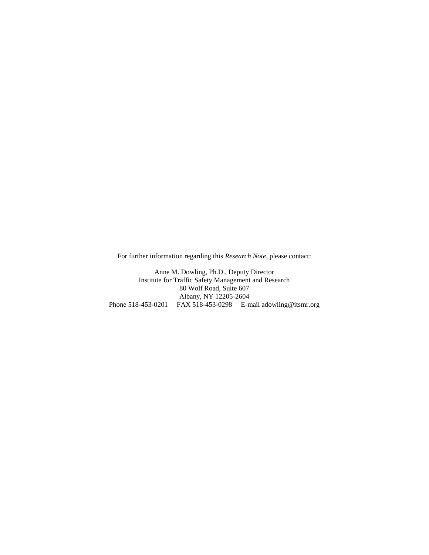For further information regarding this *Research Note*, please contact:

Anne M. Dowling, Ph.D., Deputy Director Institute for Traffic Safety Management and Research 80 Wolf Road, Suite 607 Albany, NY 12205-2604 Phone 518-453-0201 FAX 518-453-0298 E-mail adowling@itsmr.org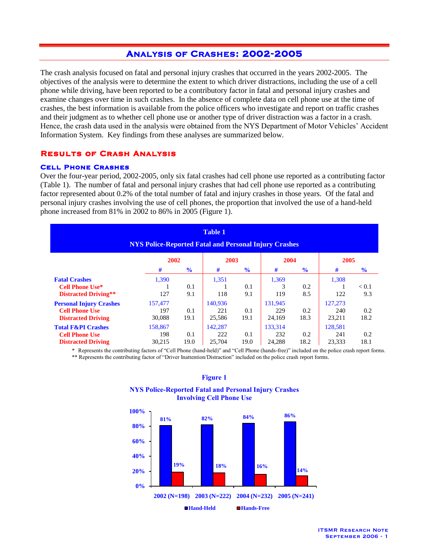# ANALYSIS OF CRASHES: 2002-2005

The crash analysis focused on fatal and personal injury crashes that occurred in the years 2002-2005. The objectives of the analysis were to determine the extent to which driver distractions, including the use of a cell phone while driving, have been reported to be a contributory factor in fatal and personal injury crashes and examine changes over time in such crashes. In the absence of complete data on cell phone use at the time of crashes, the best information is available from the police officers who investigate and report on traffic crashes and their judgment as to whether cell phone use or another type of driver distraction was a factor in a crash. Hence, the crash data used in the analysis were obtained from the NYS Department of Motor Vehicles' Accident Information System. Key findings from these analyses are summarized below.

# Results of Crash Analysis

# Cell Phone Crashes

Over the four-year period, 2002-2005, only six fatal crashes had cell phone use reported as a contributing factor (Table 1). The number of fatal and personal injury crashes that had cell phone use reported as a contributing factor represented about 0.2% of the total number of fatal and injury crashes in those years. Of the fatal and personal injury crashes involving the use of cell phones, the proportion that involved the use of a hand-held phone increased from 81% in 2002 to 86% in 2005 (Figure 1).

| <b>Table 1</b><br><b>NYS Police-Reported Fatal and Personal Injury Crashes</b> |         |               |         |               |         |               |         |               |  |
|--------------------------------------------------------------------------------|---------|---------------|---------|---------------|---------|---------------|---------|---------------|--|
|                                                                                |         | 2002          |         | 2003          |         | 2004          |         | 2005          |  |
|                                                                                | #       | $\frac{6}{6}$ | #       | $\frac{6}{9}$ | #       | $\frac{6}{6}$ | #       | $\frac{6}{6}$ |  |
| <b>Fatal Crashes</b>                                                           | 1.390   |               | 1,351   |               | 1.369   |               | 1,308   |               |  |
| <b>Cell Phone Use*</b>                                                         |         | 0.1           |         | 0.1           | 3       | 0.2           |         | < 0.1         |  |
| Distracted Driving**                                                           | 127     | 9.1           | 118     | 9.1           | 119     | 8.5           | 122     | 9.3           |  |
| <b>Personal Injury Crashes</b>                                                 | 157,477 |               | 140.936 |               | 131,945 |               | 127,273 |               |  |
| <b>Cell Phone Use</b>                                                          | 197     | 0.1           | 221     | 0.1           | 229     | 0.2           | 240     | 0.2           |  |
| <b>Distracted Driving</b>                                                      | 30,088  | 19.1          | 25,586  | 19.1          | 24,169  | 18.3          | 23,211  | 18.2          |  |
| <b>Total F&amp;PI Crashes</b>                                                  | 158,867 |               | 142.287 |               | 133,314 |               | 128,581 |               |  |
| <b>Cell Phone Use</b>                                                          | 198     | 0.1           | 222     | 0.1           | 232     | 0.2           | 241     | 0.2           |  |
| <b>Distracted Driving</b>                                                      | 30,215  | 19.0          | 25,704  | 19.0          | 24,288  | 18.2          | 23,333  | 18.1          |  |

\* Represents the contributing factors of "Cell Phone (hand-held)" and "Cell Phone (hands-free)" included on the police crash report forms. \*\* Represents the contributing factor of "Driver Inattention/Distraction" included on the police crash report forms.



#### **Figure 1**

**NYS Police-Reported Fatal and Personal Injury Crashes Involving Cell Phone Use**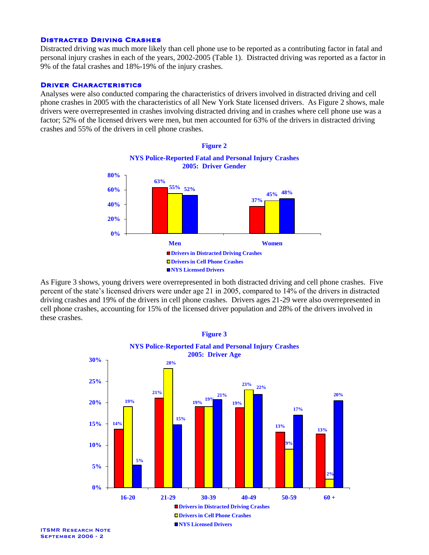# Distracted Driving Crashes

Distracted driving was much more likely than cell phone use to be reported as a contributing factor in fatal and personal injury crashes in each of the years, 2002-2005 (Table 1). Distracted driving was reported as a factor in 9% of the fatal crashes and 18%-19% of the injury crashes.

# **DRIVER CHARACTERISTICS**

Analyses were also conducted comparing the characteristics of drivers involved in distracted driving and cell phone crashes in 2005 with the characteristics of all New York State licensed drivers. As Figure 2 shows, male drivers were overrepresented in crashes involving distracted driving and in crashes where cell phone use was a factor; 52% of the licensed drivers were men, but men accounted for 63% of the drivers in distracted driving crashes and 55% of the drivers in cell phone crashes.



As Figure 3 shows, young drivers were overrepresented in both distracted driving and cell phone crashes. Five percent of the state's licensed drivers were under age 21 in 2005, compared to 14% of the drivers in distracted driving crashes and 19% of the drivers in cell phone crashes. Drivers ages 21-29 were also overrepresented in cell phone crashes, accounting for 15% of the licensed driver population and 28% of the drivers involved in these crashes.

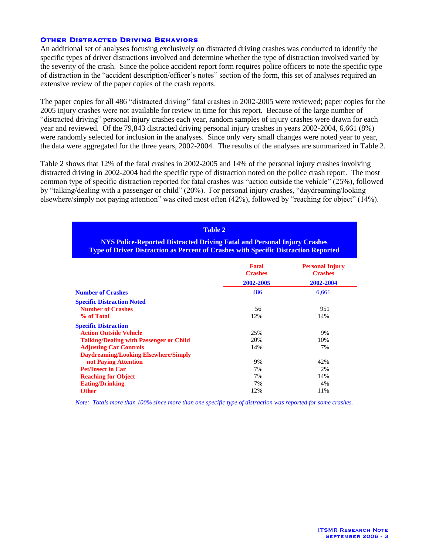# Other Distracted Driving Behaviors

An additional set of analyses focusing exclusively on distracted driving crashes was conducted to identify the specific types of driver distractions involved and determine whether the type of distraction involved varied by the severity of the crash. Since the police accident report form requires police officers to note the specific type of distraction in the "accident description/officer's notes" section of the form, this set of analyses required an extensive review of the paper copies of the crash reports.

The paper copies for all 486 "distracted driving" fatal crashes in 2002-2005 were reviewed; paper copies for the 2005 injury crashes were not available for review in time for this report. Because of the large number of "distracted driving" personal injury crashes each year, random samples of injury crashes were drawn for each year and reviewed. Of the 79,843 distracted driving personal injury crashes in years 2002-2004, 6,661 (8%) were randomly selected for inclusion in the analyses. Since only very small changes were noted year to year, the data were aggregated for the three years, 2002-2004. The results of the analyses are summarized in Table 2.

Table 2 shows that 12% of the fatal crashes in 2002-2005 and 14% of the personal injury crashes involving distracted driving in 2002-2004 had the specific type of distraction noted on the police crash report. The most common type of specific distraction reported for fatal crashes was "action outside the vehicle" (25%), followed by "talking/dealing with a passenger or child" (20%). For personal injury crashes, "daydreaming/looking elsewhere/simply not paying attention" was cited most often (42%), followed by "reaching for object" (14%).

| <b>Table 2</b>                                                                                                                                                                |                                             |                                                       |  |  |  |
|-------------------------------------------------------------------------------------------------------------------------------------------------------------------------------|---------------------------------------------|-------------------------------------------------------|--|--|--|
| <b>NYS Police-Reported Distracted Driving Fatal and Personal Injury Crashes</b><br><b>Type of Driver Distraction as Percent of Crashes with Specific Distraction Reported</b> |                                             |                                                       |  |  |  |
|                                                                                                                                                                               | <b>Fatal</b><br><b>Crashes</b><br>2002-2005 | <b>Personal Injury</b><br><b>Crashes</b><br>2002-2004 |  |  |  |
| <b>Number of Crashes</b>                                                                                                                                                      | 486                                         | 6,661                                                 |  |  |  |
| <b>Specific Distraction Noted</b><br><b>Number of Crashes</b><br>% of Total                                                                                                   | 56<br>12%                                   | 951<br>14%                                            |  |  |  |
| <b>Specific Distraction</b><br><b>Action Outside Vehicle</b><br><b>Talking/Dealing with Passenger or Child</b>                                                                | 25%<br>20%                                  | 9%<br>10%                                             |  |  |  |
| <b>Adjusting Car Controls</b><br><b>Daydreaming/Looking Elsewhere/Simply</b><br>not Paying Attention                                                                          | 14%<br>9%                                   | 7%<br>42%                                             |  |  |  |
| <b>Pet/Insect in Car</b><br><b>Reaching for Object</b>                                                                                                                        | 7%<br>7%                                    | 2%<br>14%                                             |  |  |  |
| <b>Eating/Drinking</b><br><b>Other</b>                                                                                                                                        | 7%<br>12%                                   | 4%<br>11%                                             |  |  |  |

*Note: Totals more than 100% since more than one specific type of distraction was reported for some crashes.*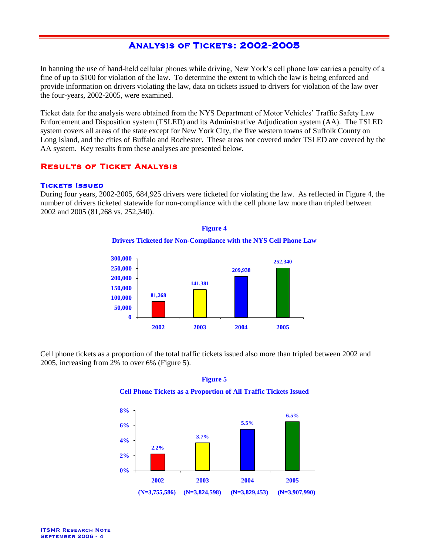# ANALYSIS OF TICKETS: 2002-2005

In banning the use of hand-held cellular phones while driving, New York's cell phone law carries a penalty of a fine of up to \$100 for violation of the law. To determine the extent to which the law is being enforced and provide information on drivers violating the law, data on tickets issued to drivers for violation of the law over the four-years, 2002-2005, were examined.

Ticket data for the analysis were obtained from the NYS Department of Motor Vehicles' Traffic Safety Law Enforcement and Disposition system (TSLED) and its Administrative Adjudication system (AA). The TSLED system covers all areas of the state except for New York City, the five western towns of Suffolk County on Long Island, and the cities of Buffalo and Rochester. These areas not covered under TSLED are covered by the AA system. Key results from these analyses are presented below.

# Results of Ticket Analysis

# Tickets Issued

During four years, 2002-2005, 684,925 drivers were ticketed for violating the law. As reflected in Figure 4, the number of drivers ticketed statewide for non-compliance with the cell phone law more than tripled between 2002 and 2005 (81,268 vs. 252,340).

> **Figure 4 Drivers Ticketed for Non-Compliance with the NYS Cell Phone Law**



Cell phone tickets as a proportion of the total traffic tickets issued also more than tripled between 2002 and 2005, increasing from 2% to over 6% (Figure 5).





# **Cell Phone Tickets as a Proportion of All Traffic Tickets Issued**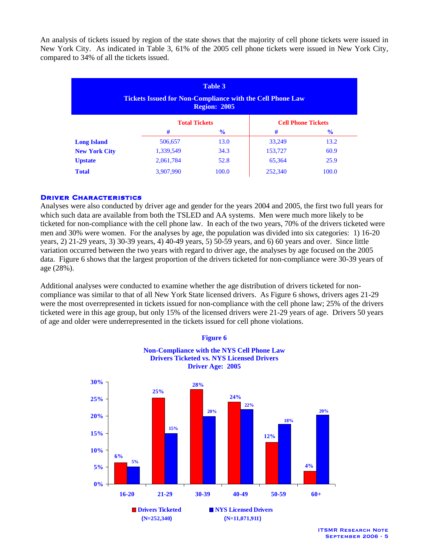An analysis of tickets issued by region of the state shows that the majority of cell phone tickets were issued in New York City. As indicated in Table 3, 61% of the 2005 cell phone tickets were issued in New York City, compared to 34% of all the tickets issued.

| <b>Table 3</b><br><b>Tickets Issued for Non-Compliance with the Cell Phone Law</b><br><b>Region: 2005</b> |           |                      |         |                           |  |  |
|-----------------------------------------------------------------------------------------------------------|-----------|----------------------|---------|---------------------------|--|--|
|                                                                                                           |           | <b>Total Tickets</b> |         | <b>Cell Phone Tickets</b> |  |  |
|                                                                                                           | #         | $\frac{6}{9}$        | #       | $\frac{6}{9}$             |  |  |
| <b>Long Island</b>                                                                                        | 506,657   | 13.0                 | 33,249  | 13.2                      |  |  |
| <b>New York City</b>                                                                                      | 1,339,549 | 34.3                 | 153,727 | 60.9                      |  |  |
| <b>Upstate</b>                                                                                            | 2,061,784 | 52.8                 | 65,364  | 25.9                      |  |  |
| <b>Total</b>                                                                                              | 3,907,990 | 100.0                | 252,340 | 100.0                     |  |  |

# **DRIVER CHARACTERISTICS**

Analyses were also conducted by driver age and gender for the years 2004 and 2005, the first two full years for which such data are available from both the TSLED and AA systems. Men were much more likely to be ticketed for non-compliance with the cell phone law. In each of the two years, 70% of the drivers ticketed were men and 30% were women. For the analyses by age, the population was divided into six categories: 1) 16-20 years, 2) 21-29 years, 3) 30-39 years, 4) 40-49 years, 5) 50-59 years, and 6) 60 years and over. Since little variation occurred between the two years with regard to driver age, the analyses by age focused on the 2005 data. Figure 6 shows that the largest proportion of the drivers ticketed for non-compliance were 30-39 years of age (28%).

Additional analyses were conducted to examine whether the age distribution of drivers ticketed for noncompliance was similar to that of all New York State licensed drivers. As Figure 6 shows, drivers ages 21-29 were the most overrepresented in tickets issued for non-compliance with the cell phone law; 25% of the drivers ticketed were in this age group, but only 15% of the licensed drivers were 21-29 years of age. Drivers 50 years of age and older were underrepresented in the tickets issued for cell phone violations.



ITSMR Research Note September 2006 - 5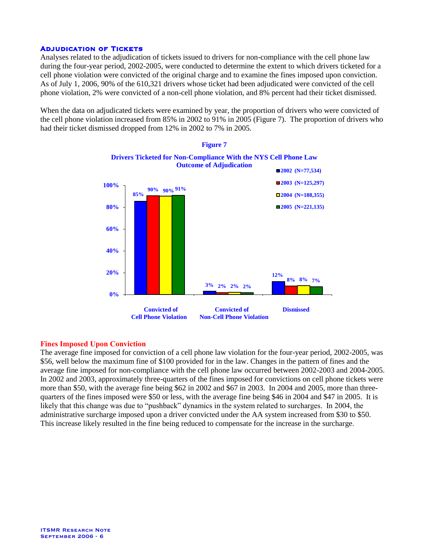# **ADJUDICATION OF TICKETS**

Analyses related to the adjudication of tickets issued to drivers for non-compliance with the cell phone law during the four-year period, 2002-2005, were conducted to determine the extent to which drivers ticketed for a cell phone violation were convicted of the original charge and to examine the fines imposed upon conviction. As of July 1, 2006, 90% of the 610,321 drivers whose ticket had been adjudicated were convicted of the cell phone violation, 2% were convicted of a non-cell phone violation, and 8% percent had their ticket dismissed.

When the data on adjudicated tickets were examined by year, the proportion of drivers who were convicted of the cell phone violation increased from 85% in 2002 to 91% in 2005 (Figure 7). The proportion of drivers who had their ticket dismissed dropped from 12% in 2002 to 7% in 2005.



# **Fines Imposed Upon Conviction**

The average fine imposed for conviction of a cell phone law violation for the four-year period, 2002-2005, was \$56, well below the maximum fine of \$100 provided for in the law. Changes in the pattern of fines and the average fine imposed for non-compliance with the cell phone law occurred between 2002-2003 and 2004-2005. In 2002 and 2003, approximately three-quarters of the fines imposed for convictions on cell phone tickets were more than \$50, with the average fine being \$62 in 2002 and \$67 in 2003. In 2004 and 2005, more than threequarters of the fines imposed were \$50 or less, with the average fine being \$46 in 2004 and \$47 in 2005. It is likely that this change was due to "pushback" dynamics in the system related to surcharges. In 2004, the administrative surcharge imposed upon a driver convicted under the AA system increased from \$30 to \$50. This increase likely resulted in the fine being reduced to compensate for the increase in the surcharge.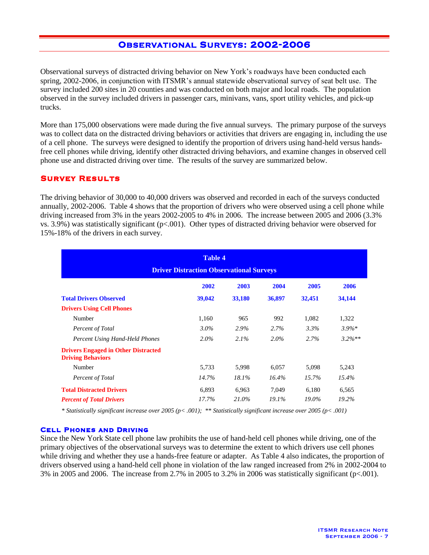# OBSERVATIONAL SURVEYS: 2002-2006

Observational surveys of distracted driving behavior on New York's roadways have been conducted each spring, 2002-2006, in conjunction with ITSMR's annual statewide observational survey of seat belt use. The survey included 200 sites in 20 counties and was conducted on both major and local roads. The population observed in the survey included drivers in passenger cars, minivans, vans, sport utility vehicles, and pick-up trucks.

More than 175,000 observations were made during the five annual surveys. The primary purpose of the surveys was to collect data on the distracted driving behaviors or activities that drivers are engaging in, including the use of a cell phone. The surveys were designed to identify the proportion of drivers using hand-held versus handsfree cell phones while driving, identify other distracted driving behaviors, and examine changes in observed cell phone use and distracted driving over time. The results of the survey are summarized below.

# Survey Results

The driving behavior of 30,000 to 40,000 drivers was observed and recorded in each of the surveys conducted annually, 2002-2006. Table 4 shows that the proportion of drivers who were observed using a cell phone while driving increased from 3% in the years 2002-2005 to 4% in 2006. The increase between 2005 and 2006 (3.3% vs. 3.9%) was statistically significant (p<.001). Other types of distracted driving behavior were observed for 15%-18% of the drivers in each survey.

| <b>Table 4</b><br><b>Driver Distraction Observational Surveys</b>      |         |         |         |          |           |  |
|------------------------------------------------------------------------|---------|---------|---------|----------|-----------|--|
|                                                                        | 2002    | 2003    | 2004    | 2005     | 2006      |  |
| <b>Total Drivers Observed</b>                                          | 39,042  | 33,180  | 36,897  | 32,451   | 34,144    |  |
| <b>Drivers Using Cell Phones</b>                                       |         |         |         |          |           |  |
| Number                                                                 | 1,160   | 965     | 992     | 1,082    | 1,322     |  |
| Percent of Total                                                       | $3.0\%$ | 2.9%    | $2.7\%$ | $3.3\%$  | $3.9\%*$  |  |
| Percent Using Hand-Held Phones                                         | $2.0\%$ | $2.1\%$ | $2.0\%$ | 2.7%     | $3.2\%**$ |  |
| <b>Drivers Engaged in Other Distracted</b><br><b>Driving Behaviors</b> |         |         |         |          |           |  |
| Number                                                                 | 5,733   | 5,998   | 6,057   | 5,098    | 5,243     |  |
| Percent of Total                                                       | 14.7%   | 18.1%   | 16.4%   | $15.7\%$ | $15.4\%$  |  |
| <b>Total Distracted Drivers</b>                                        | 6,893   | 6,963   | 7,049   | 6,180    | 6,565     |  |
| <b>Percent of Total Drivers</b>                                        | 17.7%   | 21.0%   | 19.1%   | 19.0%    | 19.2%     |  |

*\* Statistically significant increase over 2005 (p< .001); \*\* Statistically significant increase over 2005 (p< .001)*

# Cell Phones and Driving

Since the New York State cell phone law prohibits the use of hand-held cell phones while driving, one of the primary objectives of the observational surveys was to determine the extent to which drivers use cell phones while driving and whether they use a hands-free feature or adapter. As Table 4 also indicates, the proportion of drivers observed using a hand-held cell phone in violation of the law ranged increased from 2% in 2002-2004 to 3% in 2005 and 2006. The increase from 2.7% in 2005 to 3.2% in 2006 was statistically significant (p<.001).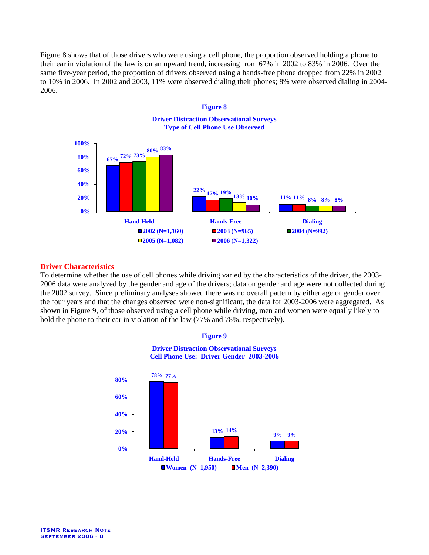Figure 8 shows that of those drivers who were using a cell phone, the proportion observed holding a phone to their ear in violation of the law is on an upward trend, increasing from 67% in 2002 to 83% in 2006. Over the same five-year period, the proportion of drivers observed using a hands-free phone dropped from 22% in 2002 to 10% in 2006. In 2002 and 2003, 11% were observed dialing their phones; 8% were observed dialing in 2004- 2006.



# **Driver Characteristics**

To determine whether the use of cell phones while driving varied by the characteristics of the driver, the 2003- 2006 data were analyzed by the gender and age of the drivers; data on gender and age were not collected during the 2002 survey. Since preliminary analyses showed there was no overall pattern by either age or gender over the four years and that the changes observed were non-significant, the data for 2003-2006 were aggregated. As shown in Figure 9, of those observed using a cell phone while driving, men and women were equally likely to hold the phone to their ear in violation of the law (77% and 78%, respectively).

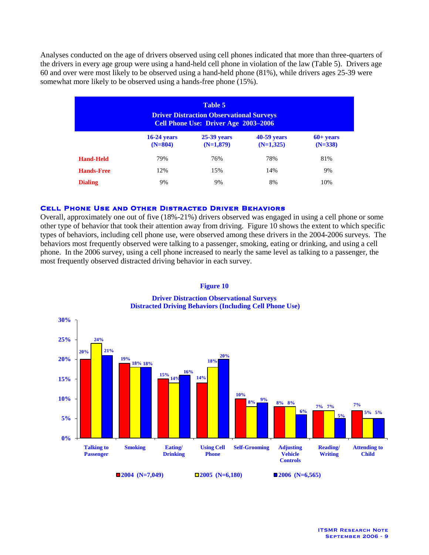Analyses conducted on the age of drivers observed using cell phones indicated that more than three-quarters of the drivers in every age group were using a hand-held cell phone in violation of the law (Table 5). Drivers age 60 and over were most likely to be observed using a hand-held phone (81%), while drivers ages 25-39 were somewhat more likely to be observed using a hands-free phone (15%).

| Table 5<br><b>Driver Distraction Observational Surveys</b><br>Cell Phone Use: Driver Age 2003-2006 |                            |                              |                              |                          |  |
|----------------------------------------------------------------------------------------------------|----------------------------|------------------------------|------------------------------|--------------------------|--|
|                                                                                                    | $16-24$ years<br>$(N=804)$ | $25-39$ years<br>$(N=1,879)$ | $40-59$ years<br>$(N=1,325)$ | $60+ years$<br>$(N=338)$ |  |
| <b>Hand-Held</b>                                                                                   | 79%                        | 76%                          | 78%                          | 81%                      |  |
| <b>Hands-Free</b>                                                                                  | 12%                        | 15%                          | 14%                          | 9%                       |  |
| <b>Dialing</b>                                                                                     | 9%                         | 9%                           | 8%                           | 10%                      |  |

# Cell Phone Use and Other Distracted Driver Behaviors

Overall, approximately one out of five (18%-21%) drivers observed was engaged in using a cell phone or some other type of behavior that took their attention away from driving. Figure 10 shows the extent to which specific types of behaviors, including cell phone use, were observed among these drivers in the 2004-2006 surveys. The behaviors most frequently observed were talking to a passenger, smoking, eating or drinking, and using a cell phone. In the 2006 survey, using a cell phone increased to nearly the same level as talking to a passenger, the most frequently observed distracted driving behavior in each survey.



**Figure 10 Driver Distraction Observational Surveys Distracted Driving Behaviors (Including Cell Phone Use)**